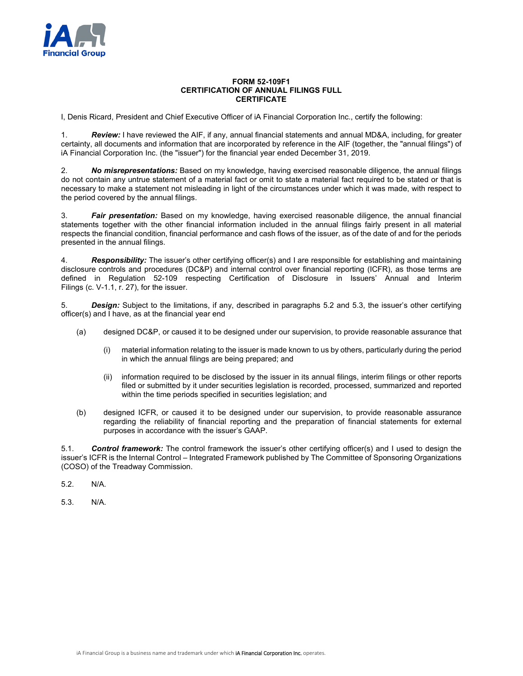

## **FORM 52-109F1 CERTIFICATION OF ANNUAL FILINGS FULL CERTIFICATE**

I, Denis Ricard, President and Chief Executive Officer of iA Financial Corporation Inc., certify the following:

1. *Review:* I have reviewed the AIF, if any, annual financial statements and annual MD&A, including, for greater certainty, all documents and information that are incorporated by reference in the AIF (together, the "annual filings") of iA Financial Corporation Inc. (the "issuer") for the financial year ended December 31, 2019.

2. *No misrepresentations:* Based on my knowledge, having exercised reasonable diligence, the annual filings do not contain any untrue statement of a material fact or omit to state a material fact required to be stated or that is necessary to make a statement not misleading in light of the circumstances under which it was made, with respect to the period covered by the annual filings.

3. *Fair presentation:* Based on my knowledge, having exercised reasonable diligence, the annual financial statements together with the other financial information included in the annual filings fairly present in all material respects the financial condition, financial performance and cash flows of the issuer, as of the date of and for the periods presented in the annual filings.

4. *Responsibility:* The issuer's other certifying officer(s) and I are responsible for establishing and maintaining disclosure controls and procedures (DC&P) and internal control over financial reporting (ICFR), as those terms are defined in Regulation 52-109 respecting Certification of Disclosure in Issuers' Annual and Interim Filings (c. V-1.1, r. 27), for the issuer.

5. *Design:* Subject to the limitations, if any, described in paragraphs 5.2 and 5.3, the issuer's other certifying officer(s) and I have, as at the financial year end

- (a) designed DC&P, or caused it to be designed under our supervision, to provide reasonable assurance that
	- (i) material information relating to the issuer is made known to us by others, particularly during the period in which the annual filings are being prepared; and
	- (ii) information required to be disclosed by the issuer in its annual filings, interim filings or other reports filed or submitted by it under securities legislation is recorded, processed, summarized and reported within the time periods specified in securities legislation; and
- (b) designed ICFR, or caused it to be designed under our supervision, to provide reasonable assurance regarding the reliability of financial reporting and the preparation of financial statements for external purposes in accordance with the issuer's GAAP.

5.1. *Control framework:* The control framework the issuer's other certifying officer(s) and I used to design the issuer's ICFR is the Internal Control – Integrated Framework published by The Committee of Sponsoring Organizations (COSO) of the Treadway Commission.

5.2. N/A.

5.3. N/A.